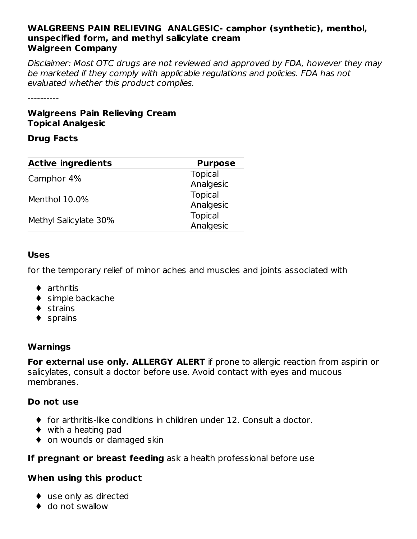#### **WALGREENS PAIN RELIEVING ANALGESIC- camphor (synthetic), menthol, unspecified form, and methyl salicylate cream Walgreen Company**

Disclaimer: Most OTC drugs are not reviewed and approved by FDA, however they may be marketed if they comply with applicable regulations and policies. FDA has not evaluated whether this product complies.

----------

#### **Walgreens Pain Relieving Cream Topical Analgesic**

#### **Drug Facts**

| <b>Active ingredients</b> | <b>Purpose</b> |
|---------------------------|----------------|
| Camphor 4%                | <b>Topical</b> |
|                           | Analgesic      |
| Menthol 10.0%             | <b>Topical</b> |
|                           | Analgesic      |
|                           | <b>Topical</b> |
| Methyl Salicylate 30%     | Analgesic      |

#### **Uses**

for the temporary relief of minor aches and muscles and joints associated with

- ♦ arthritis
- ◆ simple backache
- ♦ strains
- ♦ sprains

#### **Warnings**

**For external use only. ALLERGY ALERT** if prone to allergic reaction from aspirin or salicylates, consult a doctor before use. Avoid contact with eyes and mucous membranes.

#### **Do not use**

- ♦ for arthritis-like conditions in children under 12. Consult a doctor.
- ♦ with a heating pad
- ◆ on wounds or damaged skin

#### **If pregnant or breast feeding** ask a health professional before use

#### **When using this product**

- ♦ use only as directed
- ◆ do not swallow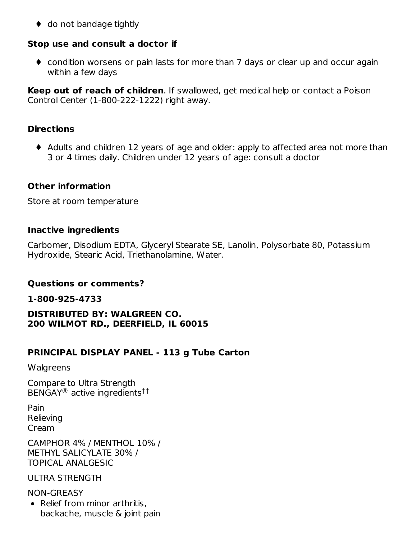◆ do not bandage tightly

#### **Stop use and consult a doctor if**

♦ condition worsens or pain lasts for more than 7 days or clear up and occur again within a few days

**Keep out of reach of children**. If swallowed, get medical help or contact a Poison Control Center (1-800-222-1222) right away.

#### **Directions**

♦ Adults and children 12 years of age and older: apply to affected area not more than 3 or 4 times daily. Children under 12 years of age: consult a doctor

#### **Other information**

Store at room temperature

#### **Inactive ingredients**

Carbomer, Disodium EDTA, Glyceryl Stearate SE, Lanolin, Polysorbate 80, Potassium Hydroxide, Stearic Acid, Triethanolamine, Water.

#### **Questions or comments?**

**1-800-925-4733**

**DISTRIBUTED BY: WALGREEN CO. 200 WILMOT RD., DEERFIELD, IL 60015**

#### **PRINCIPAL DISPLAY PANEL - 113 g Tube Carton**

**Walgreens** 

Compare to Ultra Strength  $\mathsf{BENGAY}^\circledR$  active ingredients $^{\dag\dag}$ 

Pain Relieving Cream

CAMPHOR 4% / MENTHOL 10% / METHYL SALICYLATE 30% / TOPICAL ANALGESIC

ULTRA STRENGTH

NON-GREASY • Relief from minor arthritis.

backache, muscle & joint pain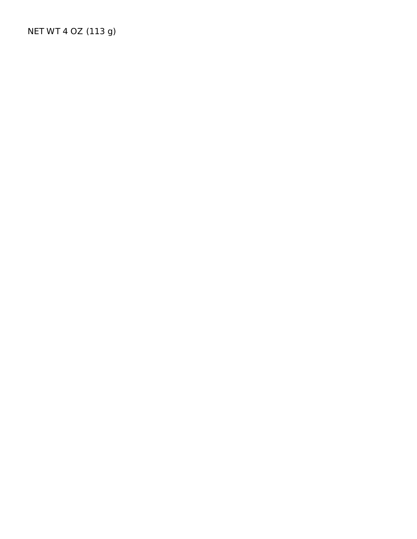NET WT 4 OZ (113 g)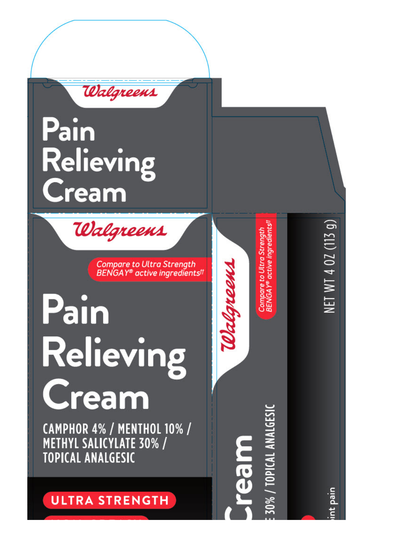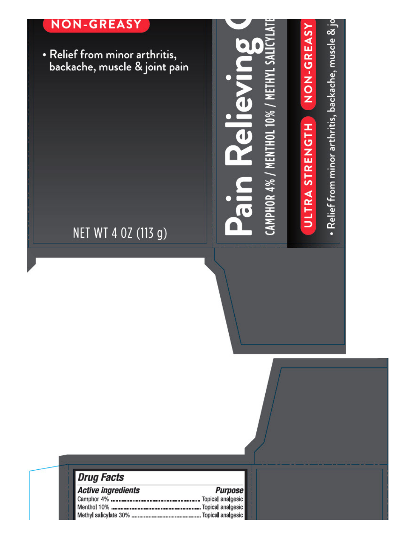## **NON-GREASY**

• Relief from minor arthritis,<br>backache, muscle & joint pain

• Relief from minor arthritis, backache, muscle  $\&$  jo

**NON-GREASY** 

ULTRA STRENGTH

**METH** 

AMPHOR 4% / MENTHOL 10% ,

**Pain Relievi** 

# NET WT 4 0Z (113 g)

| <i><b>Drug Facts</b></i>  |                |
|---------------------------|----------------|
| <b>Active ingredients</b> | <b>Purpose</b> |
|                           |                |
|                           |                |
|                           |                |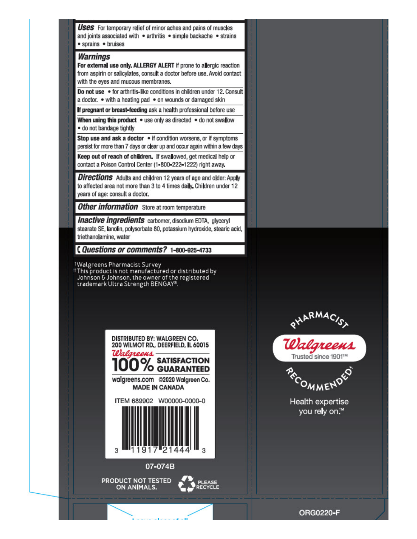**Uses** For temporary relief of minor aches and pains of muscles and joints associated with . arthritis . simple backache . strains • sprains • bruises

#### **Warnings**

For external use only. ALLERGY ALERT if prone to allergic reaction from aspirin or salicylates, consult a doctor before use. Avoid contact with the eyes and mucous membranes.

Do not use . for arthritis-like conditions in children under 12. Consult a doctor. . with a heating pad . on wounds or damaged skin

If pregnant or breast-feeding ask a health professional before use

When using this product • use only as directed • do not swallow . do not bandage tightly

Stop use and ask a doctor . if condition worsens, or if symptoms persist for more than 7 days or clear up and occur again within a few days

Keep out of reach of children. If swallowed, get medical help or contact a Poison Control Center (1-800-222-1222) right away.

**Directions** Adults and children 12 years of age and older: Apply to affected area not more than 3 to 4 times daily. Children under 12 years of age: consult a doctor.

**Other information** Store at room temperature

**Inactive ingredients** carbomer, disodium EDTA, glyceryl stearate SE, lanolin, polysorbate 80, potassium hydroxide, stearic acid, triethanolamine, water

Questions or comments? 1-800-925-4733

<sup>1</sup>Walgreens Pharmacist Survey

IT his product is not manufactured or distributed by<br>Johnson & Johnson, the owner of the registered trademark Ultra Strength BENGAY®.





PRODUCT NOT TESTED ON ANIMALS.



PHARMAC/S





Health expertise you rely on™

ORG0220-F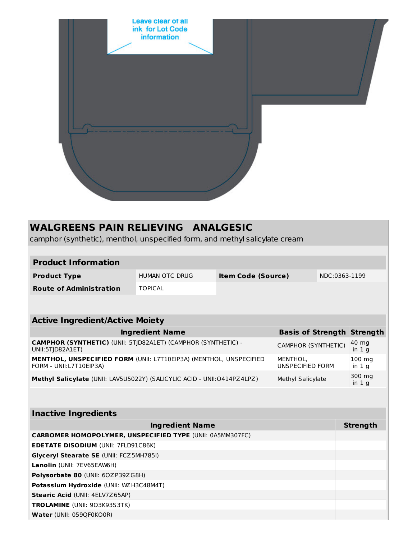

### **WALGREENS PAIN RELIEVING ANALGESIC**

camphor (synthetic), menthol, unspecified form, and methyl salicylate cream

#### **Product Information**

| <b>Product Type</b>            | HUMAN OTC DRUG | <b>Item Code (Source)</b> | NDC:0363-1199 |
|--------------------------------|----------------|---------------------------|---------------|
| <b>Route of Administration</b> | <b>TOPICAL</b> |                           |               |

#### **Active Ingredient/Active Moiety**

| <b>Ingredient Name</b>                                                                        | <b>Basis of Strength Strength</b> |                                                               |
|-----------------------------------------------------------------------------------------------|-----------------------------------|---------------------------------------------------------------|
| CAMPHOR (SYNTHETIC) (UNII: 5TJD82A1ET) (CAMPHOR (SYNTHETIC) -<br>UNII:5TJD82A1ET)             | CAMPHOR (SYNTHETIC)               | $\begin{array}{r} 40 \text{ mg} \\ \text{in 1 g} \end{array}$ |
| MENTHOL, UNSPECIFIED FORM (UNII: L7T10EIP3A) (MENTHOL, UNSPECIFIED<br>FORM - UNII:L7T10EIP3A) | MENTHOL,<br>UNSPECIFIED FORM      | $100 \text{ mg}$<br>in $1g$                                   |
| Methyl Salicylate (UNII: LAV5U5022Y) (SALICYLIC ACID - UNII:0414PZ4LPZ)                       | Methyl Salicylate                 | 300 mg<br>in $1q$                                             |

#### **Inactive Ingredients**

| <b>Ingredient Name</b>                                           | <b>Strength</b> |  |  |  |  |
|------------------------------------------------------------------|-----------------|--|--|--|--|
| <b>CARBOMER HOMOPOLYMER, UNSPECIFIED TYPE (UNII: 0A5MM307FC)</b> |                 |  |  |  |  |
| <b>EDETATE DISODIUM (UNII: 7FLD91C86K)</b>                       |                 |  |  |  |  |
| <b>Glyceryl Stearate SE (UNII: FCZ5MH785I)</b>                   |                 |  |  |  |  |
| Lanolin (UNII: 7EV65EAW6H)                                       |                 |  |  |  |  |
| <b>Polysorbate 80 (UNII: 60ZP39ZG8H)</b>                         |                 |  |  |  |  |
| Potassium Hydroxide (UNII: WZ H3C48M4T)                          |                 |  |  |  |  |
| <b>Stearic Acid (UNII: 4ELV7Z65AP)</b>                           |                 |  |  |  |  |
| <b>TROLAMINE</b> (UNII: 903K93S3TK)                              |                 |  |  |  |  |
| Water (UNII: 0590F0KO0R)                                         |                 |  |  |  |  |